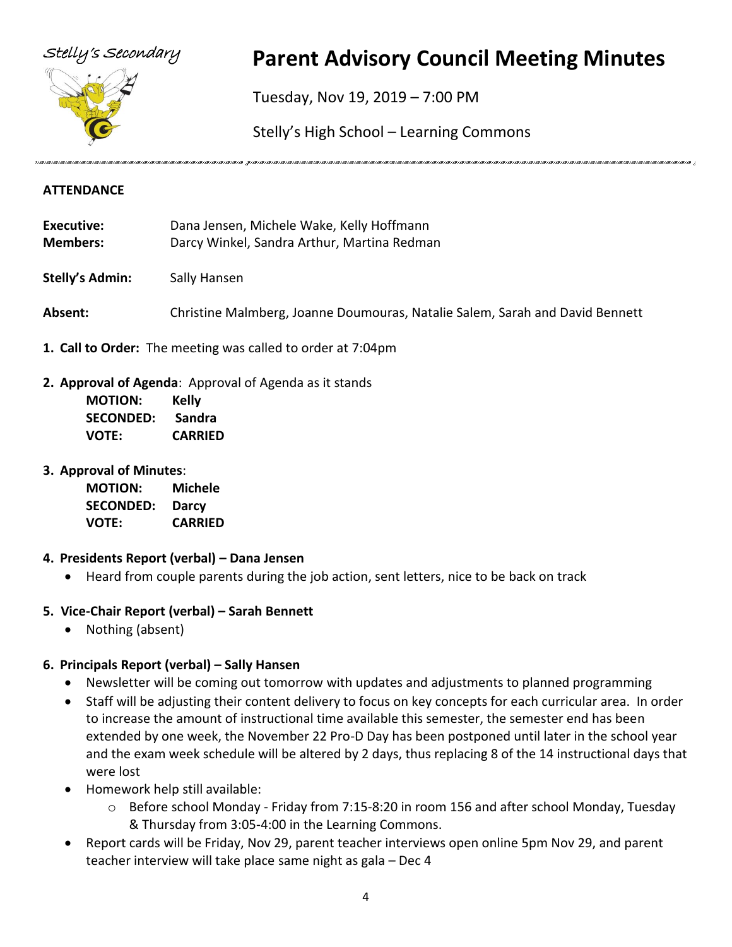

# Stelly's Secondary **Parent Advisory Council Meeting Minutes**

Tuesday, Nov 19, 2019 – 7:00 PM

Stelly's High School – Learning Commons

incontractional interactional interactional interactional interactional interactional interactional interactional interactional interactional interactional interactional interactional interactional interactional interactio

#### **ATTENDANCE**

- **Executive:** Dana Jensen, Michele Wake, Kelly Hoffmann **Members:** Darcy Winkel, Sandra Arthur, Martina Redman
- **Stelly's Admin:** Sally Hansen
- **Absent:** Christine Malmberg, Joanne Doumouras, Natalie Salem, Sarah and David Bennett
- **1. Call to Order:** The meeting was called to order at 7:04pm
- **2. Approval of Agenda**: Approval of Agenda as it stands

| <b>MOTION:</b>   | Kelly          |
|------------------|----------------|
| <b>SECONDED:</b> | Sandra         |
| VOTE:            | <b>CARRIED</b> |

**3. Approval of Minutes**:

**MOTION: Michele SECONDED: Darcy VOTE: CARRIED**

#### **4. Presidents Report (verbal) – Dana Jensen**

• Heard from couple parents during the job action, sent letters, nice to be back on track

#### **5. Vice-Chair Report (verbal) – Sarah Bennett**

• Nothing (absent)

#### **6. Principals Report (verbal) – Sally Hansen**

- Newsletter will be coming out tomorrow with updates and adjustments to planned programming
- Staff will be adjusting their content delivery to focus on key concepts for each curricular area. In order to increase the amount of instructional time available this semester, the semester end has been extended by one week, the November 22 Pro-D Day has been postponed until later in the school year and the exam week schedule will be altered by 2 days, thus replacing 8 of the 14 instructional days that were lost
- Homework help still available:
	- $\circ$  Before school Monday Friday from 7:15-8:20 in room 156 and after school Monday, Tuesday & Thursday from 3:05-4:00 in the Learning Commons.
- Report cards will be Friday, Nov 29, parent teacher interviews open online 5pm Nov 29, and parent teacher interview will take place same night as gala – Dec 4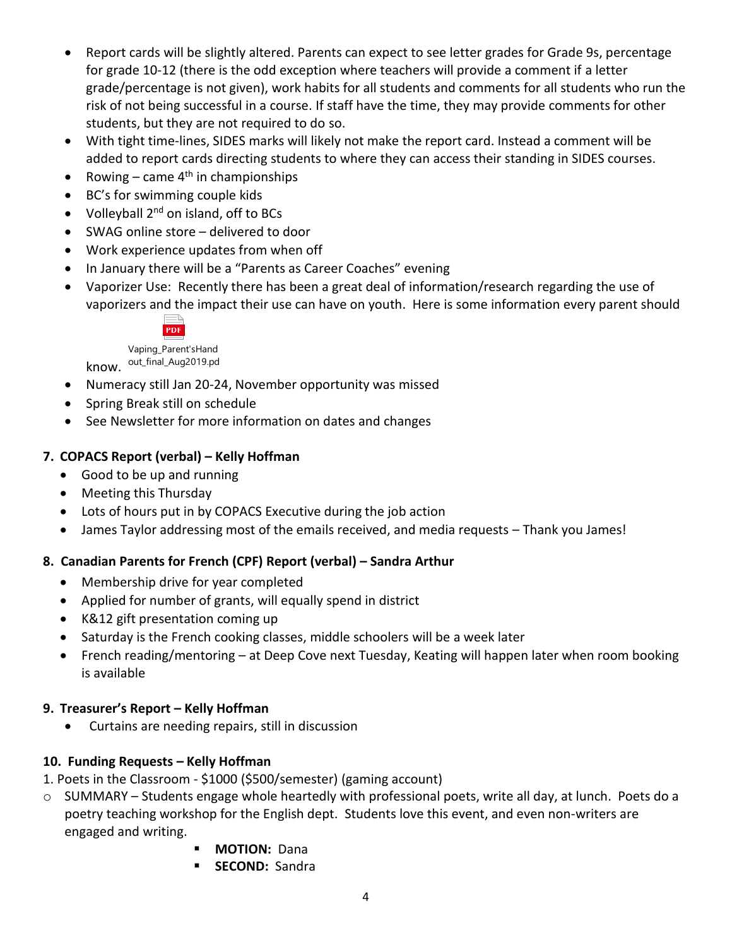- Report cards will be slightly altered. Parents can expect to see letter grades for Grade 9s, percentage for grade 10-12 (there is the odd exception where teachers will provide a comment if a letter grade/percentage is not given), work habits for all students and comments for all students who run the risk of not being successful in a course. If staff have the time, they may provide comments for other students, but they are not required to do so.
- With tight time-lines, SIDES marks will likely not make the report card. Instead a comment will be added to report cards directing students to where they can access their standing in SIDES courses.
- Rowing came  $4<sup>th</sup>$  in championships
- BC's for swimming couple kids
- Volleyball  $2^{nd}$  on island, off to BCs
- SWAG online store delivered to door
- Work experience updates from when off
- In January there will be a "Parents as Career Coaches" evening
- Vaporizer Use: Recently there has been a great deal of information/research regarding the use of vaporizers and the impact their use can have on youth. Here is some information every parent should



know. <sup>out\_final\_Aug2019.pd</sup> Vaping\_Parent'sHand

- Numeracy still Jan 20-24, November opportunity was missed
- Spring Break still on schedule
- See Newsletter for more information on dates and changes

#### **7. COPACS Report (verbal) – Kelly Hoffman**

- Good to be up and running
- Meeting this Thursday
- Lots of hours put in by COPACS Executive during the job action
- James Taylor addressing most of the emails received, and media requests Thank you James!

#### **8. Canadian Parents for French (CPF) Report (verbal) – Sandra Arthur**

- Membership drive for year completed
- Applied for number of grants, will equally spend in district
- K&12 gift presentation coming up
- Saturday is the French cooking classes, middle schoolers will be a week later
- French reading/mentoring at Deep Cove next Tuesday, Keating will happen later when room booking is available

#### **9. Treasurer's Report – Kelly Hoffman**

• Curtains are needing repairs, still in discussion

#### **10. Funding Requests – Kelly Hoffman**

- 1. Poets in the Classroom \$1000 (\$500/semester) (gaming account)
- o SUMMARY Students engage whole heartedly with professional poets, write all day, at lunch. Poets do a poetry teaching workshop for the English dept. Students love this event, and even non-writers are engaged and writing.
	- **MOTION:** Dana
	- **SECOND:** Sandra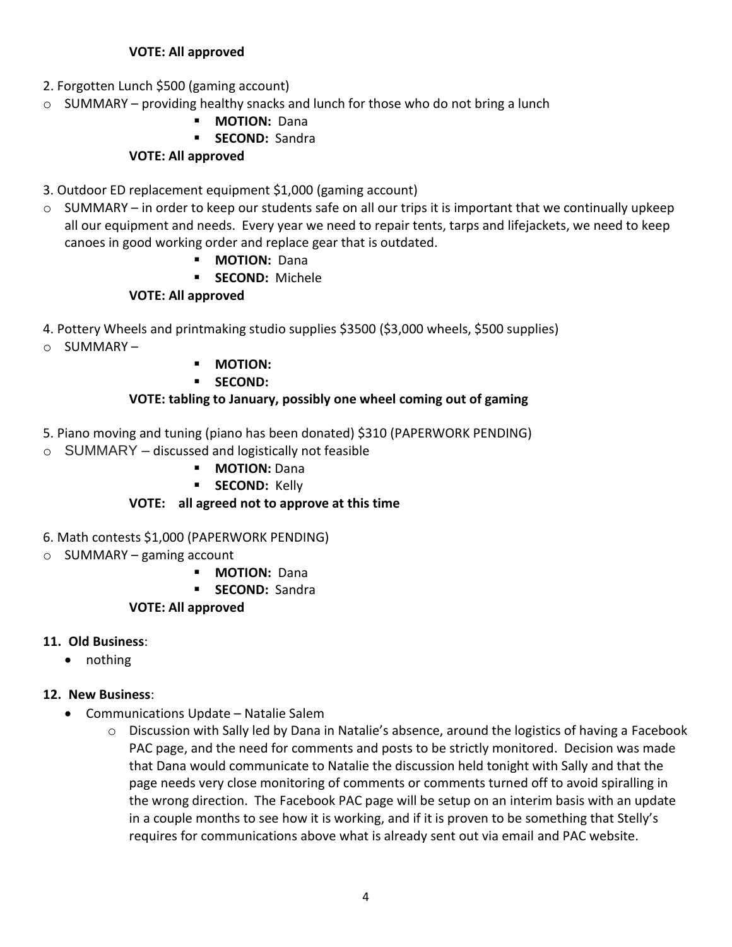#### **VOTE: All approved**

- 2. Forgotten Lunch \$500 (gaming account)
- $\circ$  SUMMARY providing healthy snacks and lunch for those who do not bring a lunch
	- **MOTION: Dana**

#### ▪ **SECOND:** Sandra

#### **VOTE: All approved**

- 3. Outdoor ED replacement equipment \$1,000 (gaming account)
- $\circ$  SUMMARY in order to keep our students safe on all our trips it is important that we continually upkeep all our equipment and needs. Every year we need to repair tents, tarps and lifejackets, we need to keep canoes in good working order and replace gear that is outdated.
	- **MOTION: Dana**
	- **SECOND: Michele**

## **VOTE: All approved**

- 4. Pottery Wheels and printmaking studio supplies \$3500 (\$3,000 wheels, \$500 supplies)
- o SUMMARY –
- **MOTION:**
- **SECOND:**

#### **VOTE: tabling to January, possibly one wheel coming out of gaming**

- 5. Piano moving and tuning (piano has been donated) \$310 (PAPERWORK PENDING)
- $\circ$  SUMMARY discussed and logistically not feasible
	- **MOTION:** Dana
	- **E** SECOND: Kelly

## **VOTE: all agreed not to approve at this time**

- 6. Math contests \$1,000 (PAPERWORK PENDING)
- $\circ$  SUMMARY gaming account
	- **MOTION: Dana**
	- **SECOND:** Sandra

#### **VOTE: All approved**

#### **11. Old Business**:

• nothing

#### **12. New Business**:

- Communications Update Natalie Salem
	- $\circ$  Discussion with Sally led by Dana in Natalie's absence, around the logistics of having a Facebook PAC page, and the need for comments and posts to be strictly monitored. Decision was made that Dana would communicate to Natalie the discussion held tonight with Sally and that the page needs very close monitoring of comments or comments turned off to avoid spiralling in the wrong direction. The Facebook PAC page will be setup on an interim basis with an update in a couple months to see how it is working, and if it is proven to be something that Stelly's requires for communications above what is already sent out via email and PAC website.